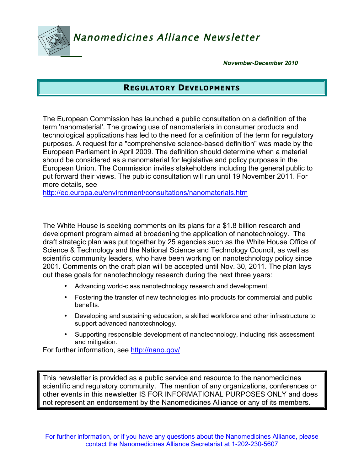Nanomedicines Alliance Newsletter

*November-December 2010*

# **REGULATORY DEVELOPMENTS**

The European Commission has launched a public consultation on a definition of the term 'nanomaterial'. The growing use of nanomaterials in consumer products and technological applications has led to the need for a definition of the term for regulatory purposes. A request for a "comprehensive science-based definition" was made by the European Parliament in April 2009. The definition should determine when a material should be considered as a nanomaterial for legislative and policy purposes in the European Union. The Commission invites stakeholders including the general public to put forward their views. The public consultation will run until 19 November 2011. For more details, see

http://ec.europa.eu/environment/consultations/nanomaterials.htm

The White House is seeking comments on its plans for a \$1.8 billion research and development program aimed at broadening the application of nanotechnology. The draft strategic plan was put together by 25 agencies such as the White House Office of Science & Technology and the National Science and Technology Council, as well as scientific community leaders, who have been working on nanotechnology policy since 2001. Comments on the draft plan will be accepted until Nov. 30, 2011. The plan lays out these goals for nanotechnology research during the next three years:

- Advancing world-class nanotechnology research and development.
- Fostering the transfer of new technologies into products for commercial and public benefits.
- Developing and sustaining education, a skilled workforce and other infrastructure to support advanced nanotechnology.
- Supporting responsible development of nanotechnology, including risk assessment and mitigation.

For further information, see http://nano.gov/

This newsletter is provided as a public service and resource to the nanomedicines scientific and regulatory community. The mention of any organizations, conferences or other events in this newsletter IS FOR INFORMATIONAL PURPOSES ONLY and does not represent an endorsement by the Nanomedicines Alliance or any of its members.

For further information, or if you have any questions about the Nanomedicines Alliance, please contact the Nanomedicines Alliance Secretariat at 1-202-230-5607